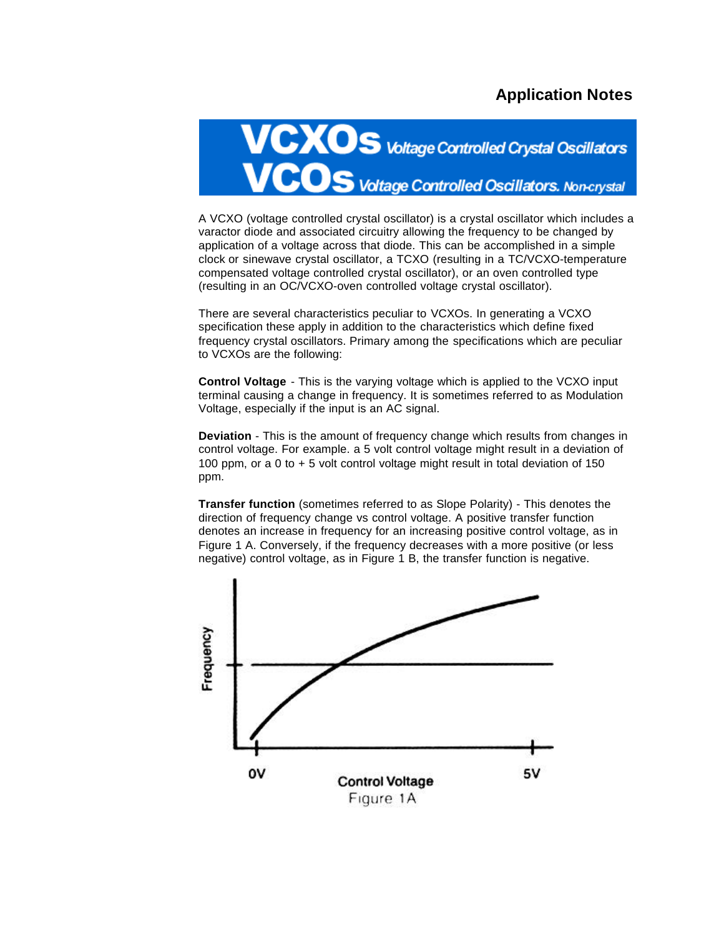## **Application Notes**



A VCXO (voltage controlled crystal oscillator) is a crystal oscillator which includes a varactor diode and associated circuitry allowing the frequency to be changed by application of a voltage across that diode. This can be accomplished in a simple clock or sinewave crystal oscillator, a TCXO (resulting in a TC/VCXO-temperature compensated voltage controlled crystal oscillator), or an oven controlled type (resulting in an OC/VCXO-oven controlled voltage crystal oscillator).

There are several characteristics peculiar to VCXOs. In generating a VCXO specification these apply in addition to the characteristics which define fixed frequency crystal oscillators. Primary among the specifications which are peculiar to VCXOs are the following:

**Control Voltage** - This is the varying voltage which is applied to the VCXO input terminal causing a change in frequency. It is sometimes referred to as Modulation Voltage, especially if the input is an AC signal.

**Deviation** - This is the amount of frequency change which results from changes in control voltage. For example. a 5 volt control voltage might result in a deviation of 100 ppm, or a 0 to + 5 volt control voltage might result in total deviation of 150 ppm.

**Transfer function** (sometimes referred to as Slope Polarity) - This denotes the direction of frequency change vs control voltage. A positive transfer function denotes an increase in frequency for an increasing positive control voltage, as in Figure 1 A. Conversely, if the frequency decreases with a more positive (or less negative) control voltage, as in Figure 1 B, the transfer function is negative.

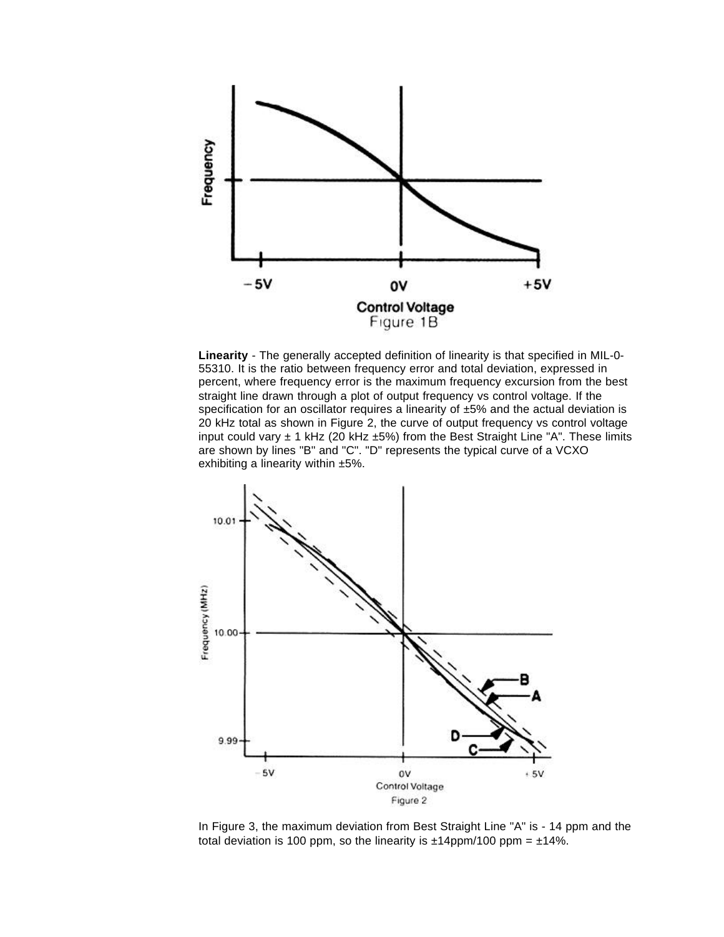

**Linearity** - The generally accepted definition of linearity is that specified in MIL-0- 55310. It is the ratio between frequency error and total deviation, expressed in percent, where frequency error is the maximum frequency excursion from the best straight line drawn through a plot of output frequency vs control voltage. If the specification for an oscillator requires a linearity of  $±5%$  and the actual deviation is 20 kHz total as shown in Figure 2, the curve of output frequency vs control voltage input could vary  $\pm$  1 kHz (20 kHz  $\pm$ 5%) from the Best Straight Line "A". These limits are shown by lines "B" and "C". "D" represents the typical curve of a VCXO exhibiting a linearity within ±5%.



In Figure 3, the maximum deviation from Best Straight Line "A" is - 14 ppm and the total deviation is 100 ppm, so the linearity is  $\pm 14$ ppm/100 ppm =  $\pm 14\%$ .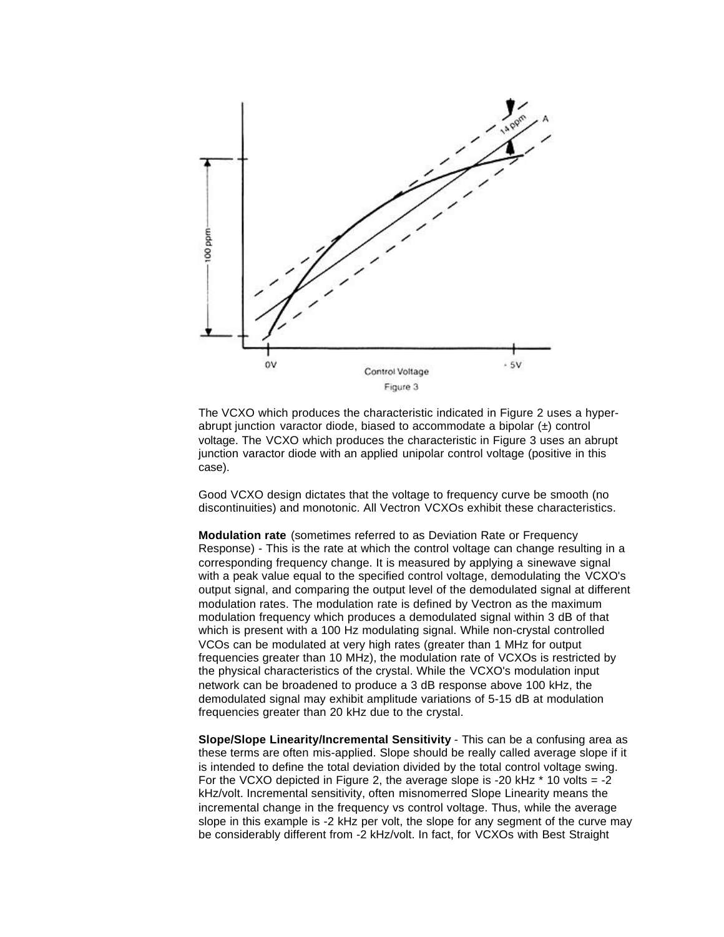

The VCXO which produces the characteristic indicated in Figure 2 uses a hyperabrupt junction varactor diode, biased to accommodate a bipolar (±) control voltage. The VCXO which produces the characteristic in Figure 3 uses an abrupt junction varactor diode with an applied unipolar control voltage (positive in this case).

Good VCXO design dictates that the voltage to frequency curve be smooth (no discontinuities) and monotonic. All Vectron VCXOs exhibit these characteristics.

**Modulation rate** (sometimes referred to as Deviation Rate or Frequency Response) - This is the rate at which the control voltage can change resulting in a corresponding frequency change. It is measured by applying a sinewave signal with a peak value equal to the specified control voltage, demodulating the VCXO's output signal, and comparing the output level of the demodulated signal at different modulation rates. The modulation rate is defined by Vectron as the maximum modulation frequency which produces a demodulated signal within 3 dB of that which is present with a 100 Hz modulating signal. While non-crystal controlled VCOs can be modulated at very high rates (greater than 1 MHz for output frequencies greater than 10 MHz), the modulation rate of VCXOs is restricted by the physical characteristics of the crystal. While the VCXO's modulation input network can be broadened to produce a 3 dB response above 100 kHz, the demodulated signal may exhibit amplitude variations of 5-15 dB at modulation frequencies greater than 20 kHz due to the crystal.

**Slope/Slope Linearity/Incremental Sensitivity** - This can be a confusing area as these terms are often mis-applied. Slope should be really called average slope if it is intended to define the total deviation divided by the total control voltage swing. For the VCXO depicted in Figure 2, the average slope is -20 kHz  $*$  10 volts = -2 kHz/volt. Incremental sensitivity, often misnomerred Slope Linearity means the incremental change in the frequency vs control voltage. Thus, while the average slope in this example is -2 kHz per volt, the slope for any segment of the curve may be considerably different from -2 kHz/volt. In fact, for VCXOs with Best Straight